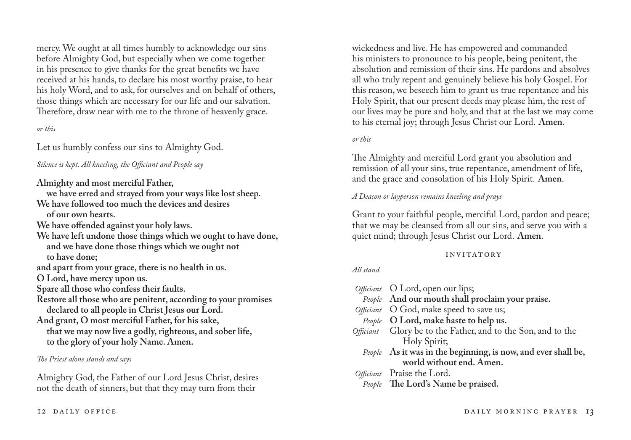mercy. We ought at all times humbly to acknowledge our sins before Almighty God, but especially when we come together in his presence to give thanks for the great benefits we have received at his hands, to declare his most worthy praise, to hear his holy Word, and to ask, for ourselves and on behalf of others, those things which are necessary for our life and our salvation. Therefore, draw near with me to the throne of heavenly grace.

*or this*

Let us humbly confess our sins to Almighty God.

*Silence is kept. All kneeling, the Officiant and People say*

**Almighty and most merciful Father,**

**we have erred and strayed from your ways like lost sheep. We have followed too much the devices and desires of our own hearts. We have offended against your holy laws.**

**We have left undone those things which we ought to have done, and we have done those things which we ought not to have done;**

**and apart from your grace, there is no health in us.**

**O Lord, have mercy upon us.**

**Spare all those who confess their faults.**

**Restore all those who are penitent, according to your promises declared to all people in Christ Jesus our Lord.**

**And grant, O most merciful Father, for his sake, that we may now live a godly, righteous, and sober life, to the glory of your holy Name. Amen.**

*The Priest alone stands and says*

Almighty God, the Father of our Lord Jesus Christ, desires not the death of sinners, but that they may turn from their

wickedness and live. He has empowered and commanded his ministers to pronounce to his people, being penitent, the absolution and remission of their sins. He pardons and absolves all who truly repent and genuinely believe his holy Gospel. For this reason, we beseech him to grant us true repentance and his Holy Spirit, that our present deeds may please him, the rest of our lives may be pure and holy, and that at the last we may come to his eternal joy; through Jesus Christ our Lord. **Amen**.

*or this*

The Almighty and merciful Lord grant you absolution and remission of all your sins, true repentance, amendment of life, and the grace and consolation of his Holy Spirit. **Amen**.

*A Deacon or layperson remains kneeling and prays*

Grant to your faithful people, merciful Lord, pardon and peace; that we may be cleansed from all our sins, and serve you with a quiet mind; through Jesus Christ our Lord. **Amen**.

## invitatory

## *All stand.*

| Officiant O Lord, open our lips;                              |
|---------------------------------------------------------------|
| People And our mouth shall proclaim your praise.              |
| Officiant O God, make speed to save us;                       |
| People O Lord, make haste to help us.                         |
| Officiant Glory be to the Father, and to the Son, and to the  |
| Holy Spirit;                                                  |
| People As it was in the beginning, is now, and ever shall be, |
| world without end. Amen.                                      |
| Officiant Praise the Lord.                                    |
| People The Lord's Name be praised.                            |
|                                                               |